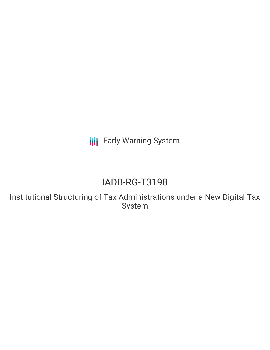**III** Early Warning System

# IADB-RG-T3198

Institutional Structuring of Tax Administrations under a New Digital Tax System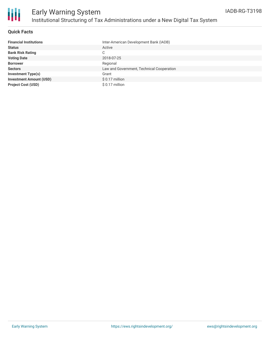

# **Quick Facts**

| <b>Financial Institutions</b>  | Inter-American Development Bank (IADB)    |
|--------------------------------|-------------------------------------------|
| <b>Status</b>                  | Active                                    |
| <b>Bank Risk Rating</b>        | C                                         |
| <b>Voting Date</b>             | 2018-07-25                                |
| <b>Borrower</b>                | Regional                                  |
| <b>Sectors</b>                 | Law and Government, Technical Cooperation |
| <b>Investment Type(s)</b>      | Grant                                     |
| <b>Investment Amount (USD)</b> | \$ 0.17 million                           |
| <b>Project Cost (USD)</b>      | \$ 0.17 million                           |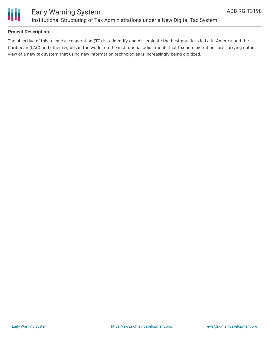

# **Project Description**

The objective of this technical cooperation (TC) is to identify and disseminate the best practices in Latin America and the Caribbean (LAC) and other regions in the world, on the institutional adjustments that tax administrations are carrying out in view of a new tax system that using new information technologies is increasingly being digitized.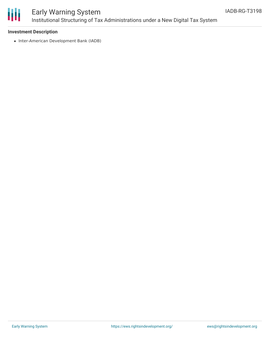

# Early Warning System Institutional Structuring of Tax Administrations under a New Digital Tax System

#### **Investment Description**

• Inter-American Development Bank (IADB)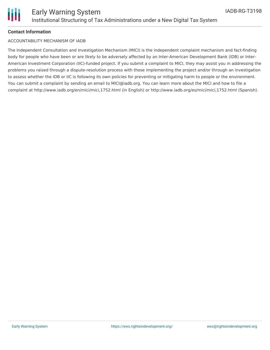

## **Contact Information**

#### ACCOUNTABILITY MECHANISM OF IADB

The Independent Consultation and Investigation Mechanism (MICI) is the independent complaint mechanism and fact-finding body for people who have been or are likely to be adversely affected by an Inter-American Development Bank (IDB) or Inter-American Investment Corporation (IIC)-funded project. If you submit a complaint to MICI, they may assist you in addressing the problems you raised through a dispute-resolution process with those implementing the project and/or through an investigation to assess whether the IDB or IIC is following its own policies for preventing or mitigating harm to people or the environment. You can submit a complaint by sending an email to MICI@iadb.org. You can learn more about the MICI and how to file a complaint at http://www.iadb.org/en/mici/mici,1752.html (in English) or http://www.iadb.org/es/mici/mici,1752.html (Spanish).